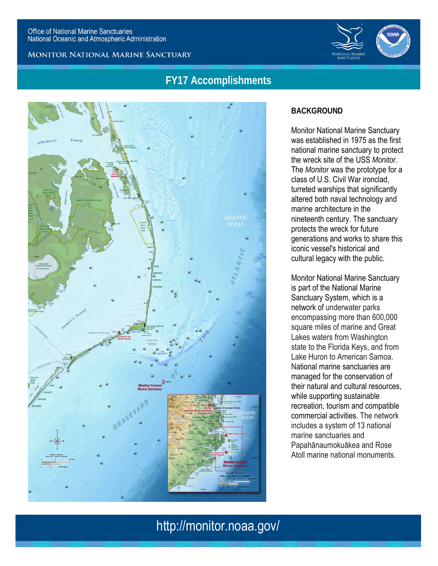**MONITOR NATIONAL MARINE SANCTUARY** 



## **FY17 Accomplishments**



### **BACKGROUND**

Monitor National Marine Sanctuary was established in 1975 as the first national marine sanctuary to protect the wreck site of the USS *Monitor*. The *Monitor* was the prototype for a class of U.S. Civil War ironclad, turreted warships that significantly altered both naval technology and marine architecture in the nineteenth century. The sanctuary protects the wreck for future generations and works to share this iconic vessel's historical and cultural legacy with the public.

Monitor National Marine Sanctuary is part of the National Marine Sanctuary System, which is a network of underwater parks encompassing more than 600,000 square miles of marine and Great Lakes waters from Washington state to the Florida Keys, and from Lake Huron to American Samoa. National marine sanctuaries are managed for the conservation of their natural and cultural resources, while supporting sustainable recreation, tourism and compatible commercial activities. The network includes a system of 13 national marine sanctuaries and Papahānaumokuākea and Rose Atoll marine national monuments.

# http://monitor.noaa.gov/